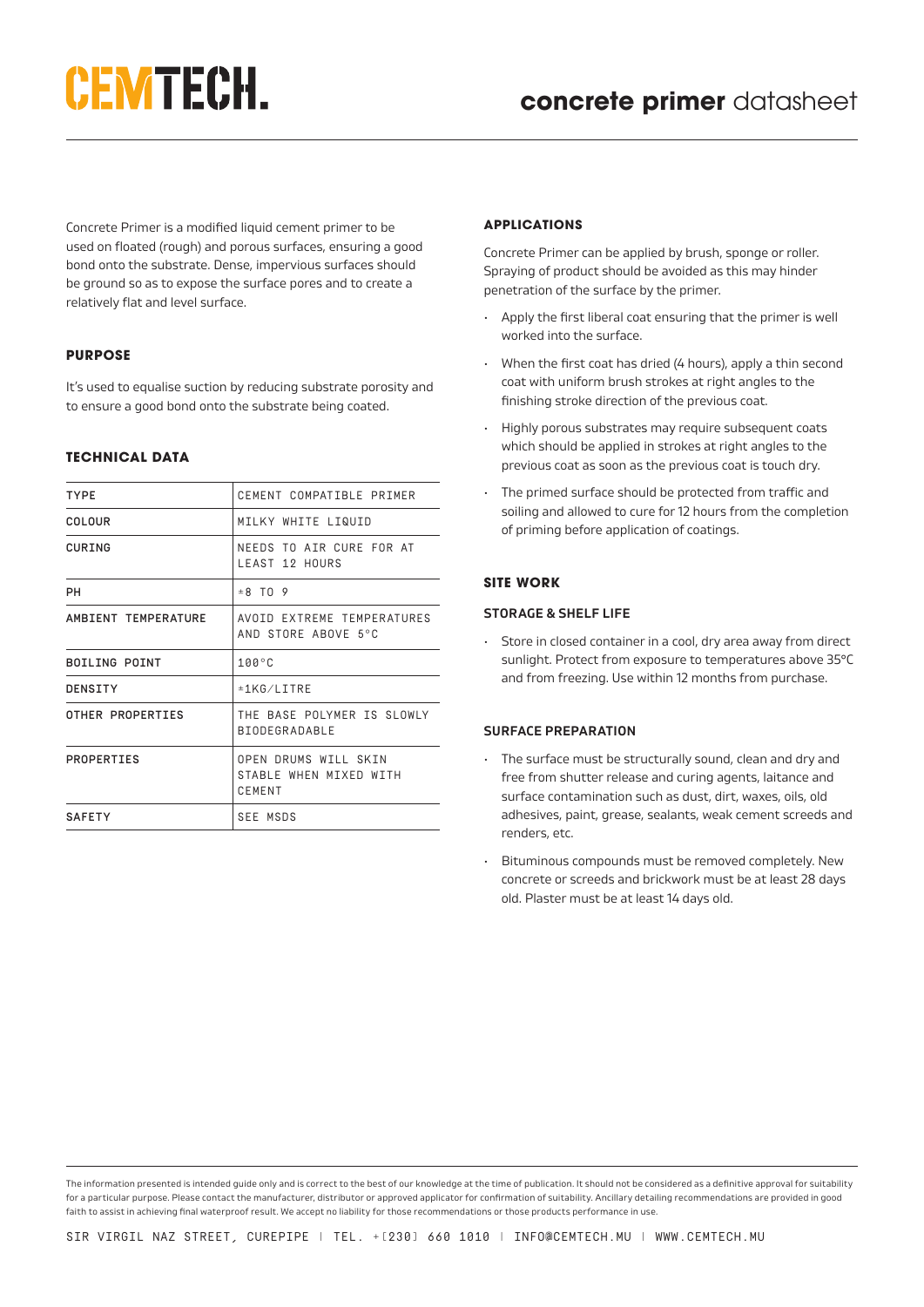# **CEMTECH.**

Concrete Primer is a modified liquid cement primer to be used on floated (rough) and porous surfaces, ensuring a good bond onto the substrate. Dense, impervious surfaces should be ground so as to expose the surface pores and to create a relatively flat and level surface.

## **PURPOSE**

It's used to equalise suction by reducing substrate porosity and to ensure a good bond onto the substrate being coated.

## **TECHNICAL DATA**

| <b>TYPE</b>          | CEMENT COMPATIBLE PRIMER                                 |
|----------------------|----------------------------------------------------------|
| COLOUR               | MILKY WHITE LIQUID                                       |
| CURING               | NEEDS TO ATR CURE FOR AT<br>LEAST 12 HOURS               |
| PН                   | $\pm$ 8 TO 9                                             |
| AMBIENT TEMPERATURE  | AVOID EXTREME TEMPERATURES<br>AND STORE ABOVE 5°C        |
| <b>BOILING POINT</b> | $100^{\circ}$ C                                          |
| DENSITY              | ±1KG/LITRE                                               |
| OTHER PROPERTIES     | THE BASE POLYMER IS SLOWLY<br><b>BIODEGRADABLE</b>       |
| PROPERTIES           | OPEN DRUMS WILL SKIN<br>STABLE WHEN MIXED WITH<br>CEMENT |
| <b>SAFETY</b>        | SEE MSDS                                                 |

#### **APPLICATIONS**

Concrete Primer can be applied by brush, sponge or roller. Spraying of product should be avoided as this may hinder penetration of the surface by the primer.

- Apply the first liberal coat ensuring that the primer is well worked into the surface.
- When the first coat has dried (4 hours), apply a thin second coat with uniform brush strokes at right angles to the finishing stroke direction of the previous coat.
- Highly porous substrates may require subsequent coats which should be applied in strokes at right angles to the previous coat as soon as the previous coat is touch dry.
- The primed surface should be protected from traffic and soiling and allowed to cure for 12 hours from the completion of priming before application of coatings.

## **SITE WORK**

#### **STORAGE & SHELF LIFE**

• Store in closed container in a cool, dry area away from direct sunlight. Protect from exposure to temperatures above 35°C and from freezing. Use within 12 months from purchase.

## **SURFACE PREPARATION**

- The surface must be structurally sound, clean and dry and free from shutter release and curing agents, laitance and surface contamination such as dust, dirt, waxes, oils, old adhesives, paint, grease, sealants, weak cement screeds and renders, etc.
- Bituminous compounds must be removed completely. New concrete or screeds and brickwork must be at least 28 days old. Plaster must be at least 14 days old.

The information presented is intended guide only and is correct to the best of our knowledge at the time of publication. It should not be considered as a definitive approval for suitability for a particular purpose. Please contact the manufacturer, distributor or approved applicator for confirmation of suitability. Ancillary detailing recommendations are provided in good faith to assist in achieving final waterproof result. We accept no liability for those recommendations or those products performance in use.